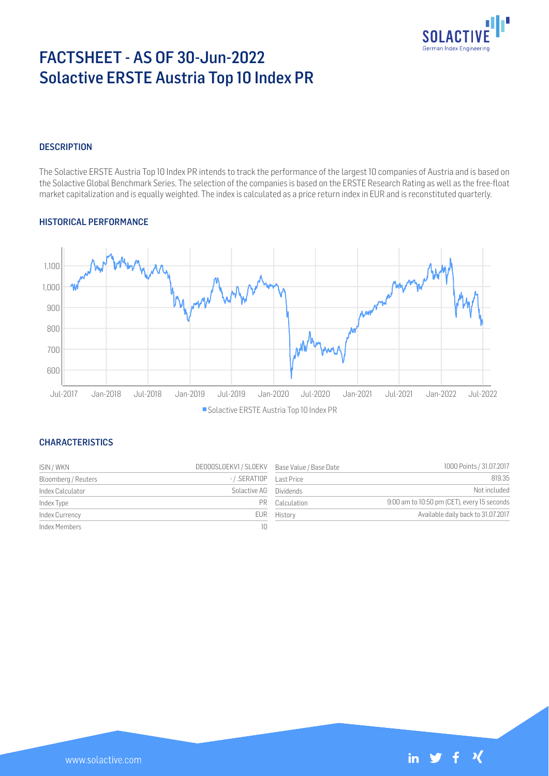

# FACTSHEET - AS OF 30-Jun-2022 Solactive ERSTE Austria Top 10 Index PR

#### **DESCRIPTION**

The Solactive ERSTE Austria Top 10 Index PR intends to track the performance of the largest 10 companies of Austria and is based on the Solactive Global Benchmark Series. The selection of the companies is based on the ERSTE Research Rating as well as the free-float market capitalization and is equally weighted. The index is calculated as a price return index in EUR and is reconstituted quarterly.

#### HISTORICAL PERFORMANCE



#### **CHARACTERISTICS**

| ISIN / WKN          | DE000SLOEKV1 / SLOEKV Base Value / Base Date |                | 1000 Points / 31.07.2017                    |
|---------------------|----------------------------------------------|----------------|---------------------------------------------|
| Bloomberg / Reuters | -/.SERATIOP    Last Price                    |                | 819.35                                      |
| Index Calculator    | Solactive AG Dividends                       |                | Not included                                |
| Index Type          |                                              | PR Calculation | 9:00 am to 10:50 pm (CET), every 15 seconds |
| Index Currency      |                                              | EUR History    | Available daily back to 31.07.2017          |
| Index Members       | 10.                                          |                |                                             |

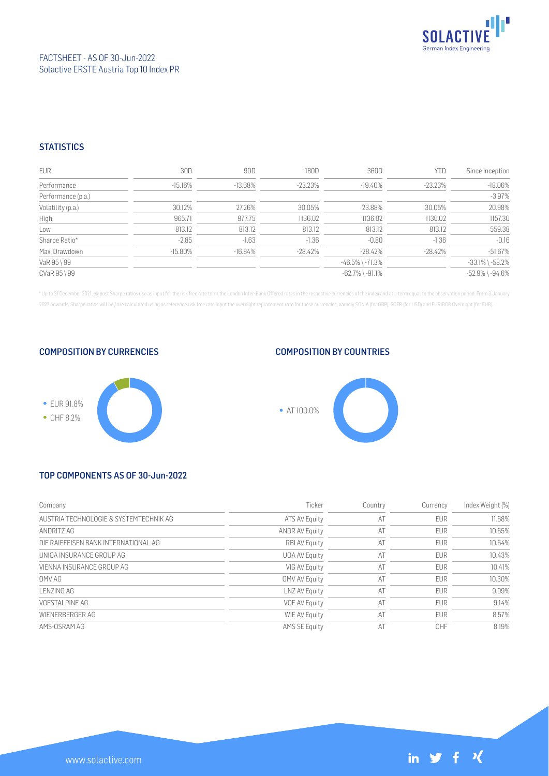

### FACTSHEET - AS OF 30-Jun-2022 Solactive ERSTE Austria Top 10 Index PR

### **STATISTICS**

| <b>EUR</b>         | 30D        | 90D        | 180D       | 360D                  | <b>YTD</b> | Since Inception       |
|--------------------|------------|------------|------------|-----------------------|------------|-----------------------|
| Performance        | $-15.16%$  | $-13.68\%$ | $-23.23\%$ | $-19.40\%$            | $-23.23\%$ | $-18.06%$             |
| Performance (p.a.) |            |            |            |                       |            | $-3.97%$              |
| Volatility (p.a.)  | 30.12%     | 27.26%     | 30.05%     | 23.88%                | 30.05%     | 20.98%                |
| High               | 965.71     | 977.75     | 1136.02    | 1136.02               | 1136.02    | 1157.30               |
| Low                | 813.12     | 813.12     | 813.12     | 813.12                | 813.12     | 559.38                |
| Sharpe Ratio*      | $-2.85$    | $-1.63$    | $-1.36$    | $-0.80$               | $-1.36$    | $-0.16$               |
| Max. Drawdown      | $-15.80\%$ | $-16.84%$  | $-28.42%$  | $-28.42%$             | -28.42%    | $-51.67%$             |
| VaR 95 \ 99        |            |            |            | $-46.5\%$ \ $-71.3\%$ |            | $-33.1\%$ \ $-58.2\%$ |
| CVaR 95 \ 99       |            |            |            | $-62.7\%$ \ $-91.1\%$ |            | $-52.9\%$ \ $-94.6\%$ |

\* Up to 31 December 2021, ex-post Sharpe ratios use as input for the risk free rate term the London Inter-Bank Offered rates in the respective currencies of the index and at a term equal to the observation period. From 3 J 2022 onwards, Sharpe ratios will be / are calculated using as reference risk free rate input the overnight replacement rate for these currencies, namely SONIA (for GBP), SOFR (for USD) and EURIBOR Overnight (for EUR).

COMPOSITION BY CURRENCIES



## COMPOSITION BY COUNTRIES



## TOP COMPONENTS AS OF 30-Jun-2022

| Company                                | Ticker                | Country | Currency   | Index Weight (%) |
|----------------------------------------|-----------------------|---------|------------|------------------|
| AUSTRIA TECHNOLOGIE & SYSTEMTECHNIK AG | ATS AV Equity         | AT      | <b>EUR</b> | 11.68%           |
| ANDRITZ AG                             | <b>ANDR AV Equity</b> | AT      | <b>EUR</b> | 10.65%           |
| DIE RAIFFFISEN BANK INTERNATIONAL AG   | <b>RBI AV Equity</b>  | AT      | <b>EUR</b> | 10.64%           |
| UNIOA INSURANCE GROUP AG               | UQA AV Equity         | AT      | <b>EUR</b> | 10.43%           |
| VIENNA INSURANCE GROUP AG              | VIG AV Equity         | AT      | <b>EUR</b> | 10.41%           |
| OMV AG                                 | <b>OMV AV Equity</b>  | AT      | <b>EUR</b> | 10.30%           |
| I FN7ING AG                            | LNZ AV Equity         | AT      | <b>EUR</b> | 9.99%            |
| VOESTAL PINE AG                        | <b>VOE AV Equity</b>  | AT      | <b>EUR</b> | 9.14%            |
| WIENERBERGER AG                        | WIE AV Equity         | AT      | <b>EUR</b> | 8.57%            |
| AMS-OSRAM AG                           | <b>AMS SE Equity</b>  | AT      | CHF        | 8.19%            |